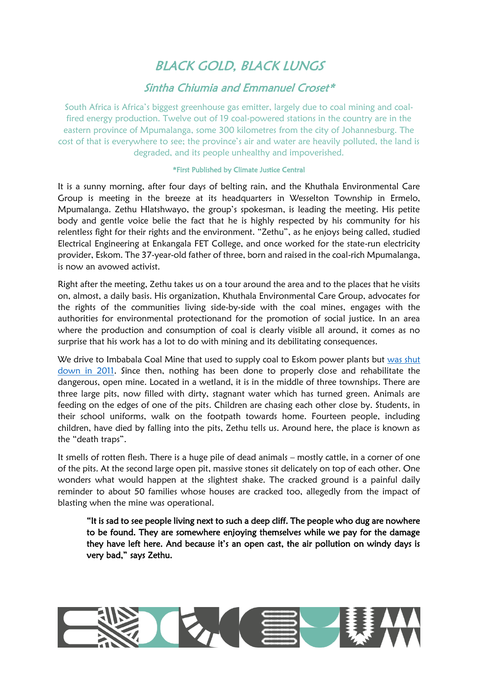## BLACK GOLD, BLACK LUNGS

## Sintha Chiumia and Emmanuel Croset\*

South Africa is Africa's biggest greenhouse gas emitter, largely due to coal mining and coalfired energy production. Twelve out of 19 coal-powered stations in the country are in the eastern province of Mpumalanga, some 300 kilometres from the city of Johannesburg. The cost of that is everywhere to see; the province's air and water are heavily polluted, the land is degraded, and its people unhealthy and impoverished.

## \*First Published by Climate Justice Central

It is a sunny morning, after four days of belting rain, and the Khuthala Environmental Care Group is meeting in the breeze at its headquarters in Wesselton Township in Ermelo, Mpumalanga. Zethu Hlatshwayo, the group's spokesman, is leading the meeting. His petite body and gentle voice belie the fact that he is highly respected by his community for his relentless fight for their rights and the environment. "Zethu", as he enjoys being called, studied Electrical Engineering at Enkangala FET College, and once worked for the state-run electricity provider, Eskom. The 37-year-old father of three, born and raised in the coal-rich Mpumalanga, is now an avowed activist.

Right after the meeting, Zethu takes us on a tour around the area and to the places that he visits on, almost, a daily basis. His organization, Khuthala Environmental Care Group, advocates for the rights of the communities living side-by-side with the coal mines, engages with the authorities for environmental protectionand for the promotion of social justice. In an area where the production and consumption of coal is clearly visible all around, it comes as no surprise that his work has a lot to do with mining and its debilitating consequences.

We drive to Imbabala Coal Mine that used to supply coal to Eskom power plants but was shut [down in 2011.](https://www.groundwork.org.za/reports/gWReport_2016.pdf) Since then, nothing has been done to properly close and rehabilitate the dangerous, open mine. Located in a wetland, it is in the middle of three townships. There are three large pits, now filled with dirty, stagnant water which has turned green. Animals are feeding on the edges of one of the pits. Children are chasing each other close by. Students, in their school uniforms, walk on the footpath towards home. Fourteen people, including children, have died by falling into the pits, Zethu tells us. Around here, the place is known as the "death traps".

It smells of rotten flesh. There is a huge pile of dead animals – mostly cattle, in a corner of one of the pits. At the second large open pit, massive stones sit delicately on top of each other. One wonders what would happen at the slightest shake. The cracked ground is a painful daily reminder to about 50 families whose houses are cracked too, allegedly from the impact of blasting when the mine was operational.

"It is sad to see people living next to such a deep cliff. The people who dug are nowhere to be found. They are somewhere enjoying themselves while we pay for the damage they have left here. And because it's an open cast, the air pollution on windy days is very bad," says Zethu.

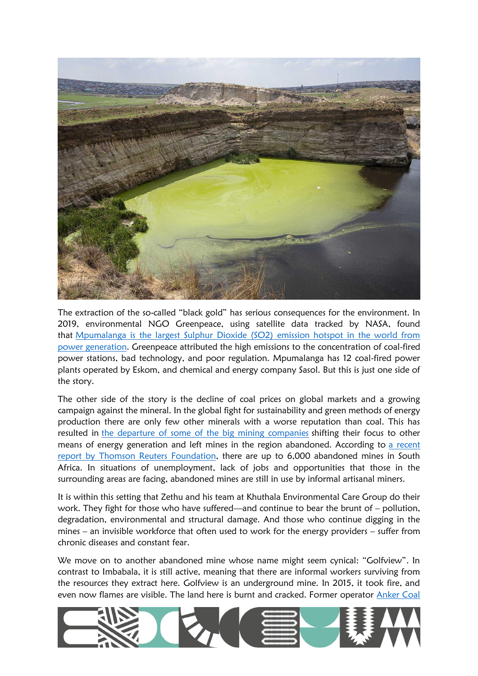

The extraction of the so-called "black gold" has serious consequences for the environment. In 2019, environmental NGO Greenpeace, using satellite data tracked by NASA, found that [Mpumalanga is the largest Sulphur Dioxide \(SO2\) emission hotspot in the world from](https://www.greenpeace.org/africa/en/press/7678/mpumalanga-so2-pollution-as-bad-as-no2-new-study-finds/)  [power generation.](https://www.greenpeace.org/africa/en/press/7678/mpumalanga-so2-pollution-as-bad-as-no2-new-study-finds/) Greenpeace attributed the high emissions to the concentration of coal-fired power stations, bad technology, and poor regulation. Mpumalanga has 12 coal-fired power plants operated by Eskom, and chemical and energy company Sasol. But this is just one side of the story.

The other side of the story is the decline of coal prices on global markets and a growing campaign against the mineral. In the global fight for sustainability and green methods of energy production there are only few other minerals with a worse reputation than coal. This has resulted in [the departure of some of the big mining companies](https://www.iol.co.za/news/south-africa/gauteng/days-of-coal-mines-are-numbered-as-eskom-shifts-focus-8378695) shifting their focus to other means of energy generation and left mines in the region abandoned. According to [a recent](https://news.trust.org/item/20200917101020-ic3di)  [report by Thomson Reuters Foundation,](https://news.trust.org/item/20200917101020-ic3di) there are up to 6,000 abandoned mines in South Africa. In situations of unemployment, lack of jobs and opportunities that those in the surrounding areas are facing, abandoned mines are still in use by informal artisanal miners.

It is within this setting that Zethu and his team at Khuthala Environmental Care Group do their work. They fight for those who have suffered—and continue to bear the brunt of – pollution, degradation, environmental and structural damage. And those who continue digging in the mines – an invisible workforce that often used to work for the energy providers – suffer from chronic diseases and constant fear.

We move on to another abandoned mine whose name might seem cynical: "Golfview". In contrast to Imbabala, it is still active, meaning that there are informal workers surviving from the resources they extract here. Golfview is an underground mine. In 2015, it took fire, and even now flames are visible. The land here is burnt and cracked. Former operator Anker Coal

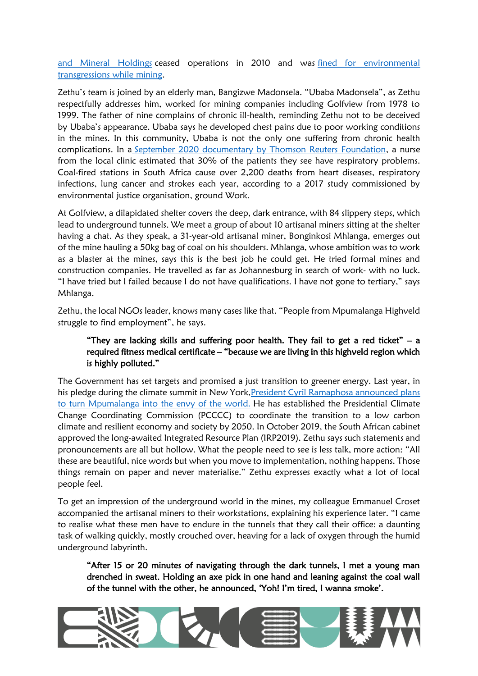[and Mineral Holdings](https://pulitzercenter.org/reporting/unfinished-business-coal-miners-across-south-africa-walk-away-clean) ceased operations in 2010 and was [fined for environmental](https://www.climatechangenews.com/2017/03/22/unfinished-business-coal-miners-south-africa-walk-away-clean/)  [transgressions while mining.](https://www.climatechangenews.com/2017/03/22/unfinished-business-coal-miners-south-africa-walk-away-clean/)

Zethu's team is joined by an elderly man, Bangizwe Madonsela. "Ubaba Madonsela", as Zethu respectfully addresses him, worked for mining companies including Golfview from 1978 to 1999. The father of nine complains of chronic ill-health, reminding Zethu not to be deceived by Ubaba's appearance. Ubaba says he developed chest pains due to poor working conditions in the mines. In this community, Ubaba is not the only one suffering from chronic health complications. In a [September 2020 documentary by Thomson Reuters Foundation,](https://news.trust.org/item/20200917104121-9d0kb/) a nurse from the local clinic estimated that 30% of the patients they see have respiratory problems. Coal-fired stations in South Africa cause over 2,200 deaths from heart diseases, respiratory infections, lung cancer and strokes each year, according to a 2017 study commissioned by environmental justice organisation, ground Work.

At Golfview, a dilapidated shelter covers the deep, dark entrance, with 84 slippery steps, which lead to underground tunnels. We meet a group of about 10 artisanal miners sitting at the shelter having a chat. As they speak, a 31-year-old artisanal miner, Bonginkosi Mhlanga, emerges out of the mine hauling a 50kg bag of coal on his shoulders. Mhlanga, whose ambition was to work as a blaster at the mines, says this is the best job he could get. He tried formal mines and construction companies. He travelled as far as Johannesburg in search of work- with no luck. "I have tried but I failed because I do not have qualifications. I have not gone to tertiary," says Mhlanga.

Zethu, the local NGOs leader, knows many cases like that. "People from Mpumalanga Highveld struggle to find employment", he says.

## "They are lacking skills and suffering poor health. They fail to get a red ticket"  $-$  a required fitness medical certificate – "because we are living in this highveld region which is highly polluted."

The Government has set targets and promised a just transition to greener energy. Last year, in his pledge during the climate summit in New York[,President Cyril Ramaphosa announced plans](https://www.dailymaverick.co.za/article/2019-10-02-ramaphosas-11bn-climate-fund-or-how-the-smart-money-could-turn-mpumalanga-into-the-envy-of-the-world/)  [to turn Mpumalanga into the envy of the world.](https://www.dailymaverick.co.za/article/2019-10-02-ramaphosas-11bn-climate-fund-or-how-the-smart-money-could-turn-mpumalanga-into-the-envy-of-the-world/) He has established the Presidential Climate Change Coordinating Commission (PCCCC) to coordinate the transition to a low carbon climate and resilient economy and society by 2050. In October 2019, the South African cabinet approved the long-awaited Integrated Resource Plan (IRP2019). Zethu says such statements and pronouncements are all but hollow. What the people need to see is less talk, more action: "All these are beautiful, nice words but when you move to implementation, nothing happens. Those things remain on paper and never materialise." Zethu expresses exactly what a lot of local people feel.

To get an impression of the underground world in the mines, my colleague Emmanuel Croset accompanied the artisanal miners to their workstations, explaining his experience later. "I came to realise what these men have to endure in the tunnels that they call their office: a daunting task of walking quickly, mostly crouched over, heaving for a lack of oxygen through the humid underground labyrinth.

"After 15 or 20 minutes of navigating through the dark tunnels, I met a young man drenched in sweat. Holding an axe pick in one hand and leaning against the coal wall of the tunnel with the other, he announced, 'Yoh! I'm tired, I wanna smoke'.

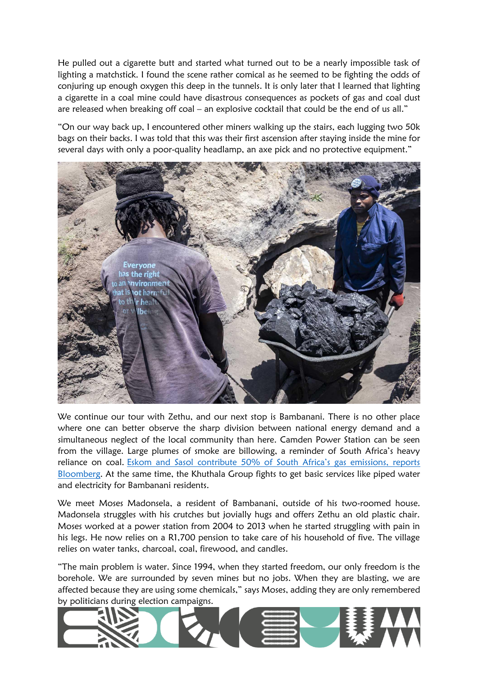He pulled out a cigarette butt and started what turned out to be a nearly impossible task of lighting a matchstick. I found the scene rather comical as he seemed to be fighting the odds of conjuring up enough oxygen this deep in the tunnels. It is only later that I learned that lighting a cigarette in a coal mine could have disastrous consequences as pockets of gas and coal dust are released when breaking off coal – an explosive cocktail that could be the end of us all."

"On our way back up, I encountered other miners walking up the stairs, each lugging two 50k bags on their backs. I was told that this was their first ascension after staying inside the mine for several days with only a poor-quality headlamp, an axe pick and no protective equipment."



We continue our tour with Zethu, and our next stop is Bambanani. There is no other place where one can better observe the sharp division between national energy demand and a simultaneous neglect of the local community than here. Camden Power Station can be seen from the village. Large plumes of smoke are billowing, a reminder of South Africa's heavy reliance on coal. [Eskom and Sasol contribute 50% of South Africa's gas emissions, reports](https://www.bloomberg.com/news/articles/2019-07-30/eskom-sasol-emit-over-half-of-south-africa-s-greenhouse-gas)  [Bloomberg.](https://www.bloomberg.com/news/articles/2019-07-30/eskom-sasol-emit-over-half-of-south-africa-s-greenhouse-gas) At the same time, the Khuthala Group fights to get basic services like piped water and electricity for Bambanani residents.

We meet Moses Madonsela, a resident of Bambanani, outside of his two-roomed house. Madonsela struggles with his crutches but jovially hugs and offers Zethu an old plastic chair. Moses worked at a power station from 2004 to 2013 when he started struggling with pain in his legs. He now relies on a R1,700 pension to take care of his household of five. The village relies on water tanks, charcoal, coal, firewood, and candles.

"The main problem is water. Since 1994, when they started freedom, our only freedom is the borehole. We are surrounded by seven mines but no jobs. When they are blasting, we are affected because they are using some chemicals," says Moses, adding they are only remembered by politicians during election campaigns.